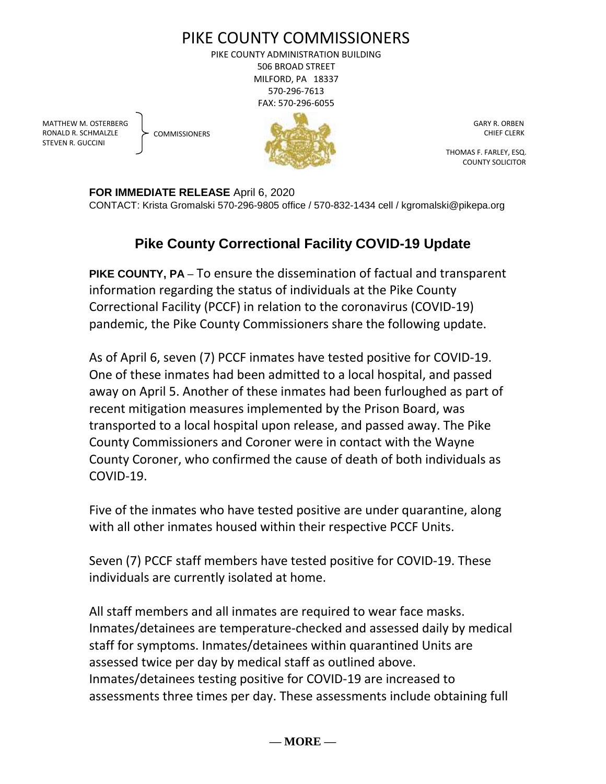

PIKE COUNTY ADMINISTRATION BUILDING 506 BROAD STREET MILFORD, PA 18337 570-296-7613 FAX: 570-296-6055

MATTHEW M. OSTERBERG RONALD R. SCHMALZLE STEVEN R. GUCCINI

**COMMISSIONERS** 



 GARY R. ORBEN CHIEF CLERK

 THOMAS F. FARLEY, ESQ. COUNTY SOLICITOR

**FOR IMMEDIATE RELEASE** April 6, 2020

CONTACT: Krista Gromalski 570-296-9805 office / 570-832-1434 cell / kgromalski@pikepa.org

## **Pike County Correctional Facility COVID-19 Update**

**PIKE COUNTY, PA** – To ensure the dissemination of factual and transparent information regarding the status of individuals at the Pike County Correctional Facility (PCCF) in relation to the coronavirus (COVID-19) pandemic, the Pike County Commissioners share the following update.

As of April 6, seven (7) PCCF inmates have tested positive for COVID-19. One of these inmates had been admitted to a local hospital, and passed away on April 5. Another of these inmates had been furloughed as part of recent mitigation measures implemented by the Prison Board, was transported to a local hospital upon release, and passed away. The Pike County Commissioners and Coroner were in contact with the Wayne County Coroner, who confirmed the cause of death of both individuals as COVID-19.

Five of the inmates who have tested positive are under quarantine, along with all other inmates housed within their respective PCCF Units.

Seven (7) PCCF staff members have tested positive for COVID-19. These individuals are currently isolated at home.

All staff members and all inmates are required to wear face masks. Inmates/detainees are temperature-checked and assessed daily by medical staff for symptoms. Inmates/detainees within quarantined Units are assessed twice per day by medical staff as outlined above. Inmates/detainees testing positive for COVID-19 are increased to assessments three times per day. These assessments include obtaining full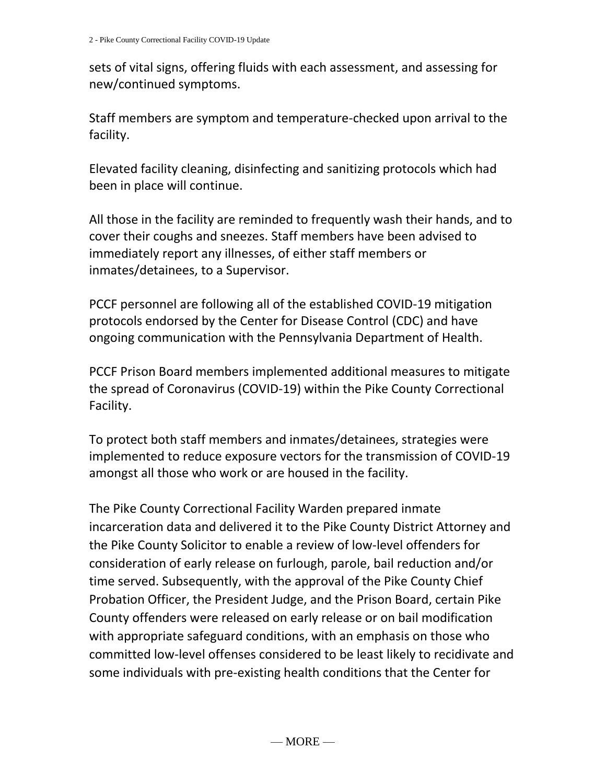sets of vital signs, offering fluids with each assessment, and assessing for new/continued symptoms.

Staff members are symptom and temperature-checked upon arrival to the facility.

Elevated facility cleaning, disinfecting and sanitizing protocols which had been in place will continue.

All those in the facility are reminded to frequently wash their hands, and to cover their coughs and sneezes. Staff members have been advised to immediately report any illnesses, of either staff members or inmates/detainees, to a Supervisor.

PCCF personnel are following all of the established COVID-19 mitigation protocols endorsed by the Center for Disease Control (CDC) and have ongoing communication with the Pennsylvania Department of Health.

PCCF Prison Board members implemented additional measures to mitigate the spread of Coronavirus (COVID-19) within the Pike County Correctional Facility.

To protect both staff members and inmates/detainees, strategies were implemented to reduce exposure vectors for the transmission of COVID-19 amongst all those who work or are housed in the facility.

The Pike County Correctional Facility Warden prepared inmate incarceration data and delivered it to the Pike County District Attorney and the Pike County Solicitor to enable a review of low-level offenders for consideration of early release on furlough, parole, bail reduction and/or time served. Subsequently, with the approval of the Pike County Chief Probation Officer, the President Judge, and the Prison Board, certain Pike County offenders were released on early release or on bail modification with appropriate safeguard conditions, with an emphasis on those who committed low-level offenses considered to be least likely to recidivate and some individuals with pre-existing health conditions that the Center for